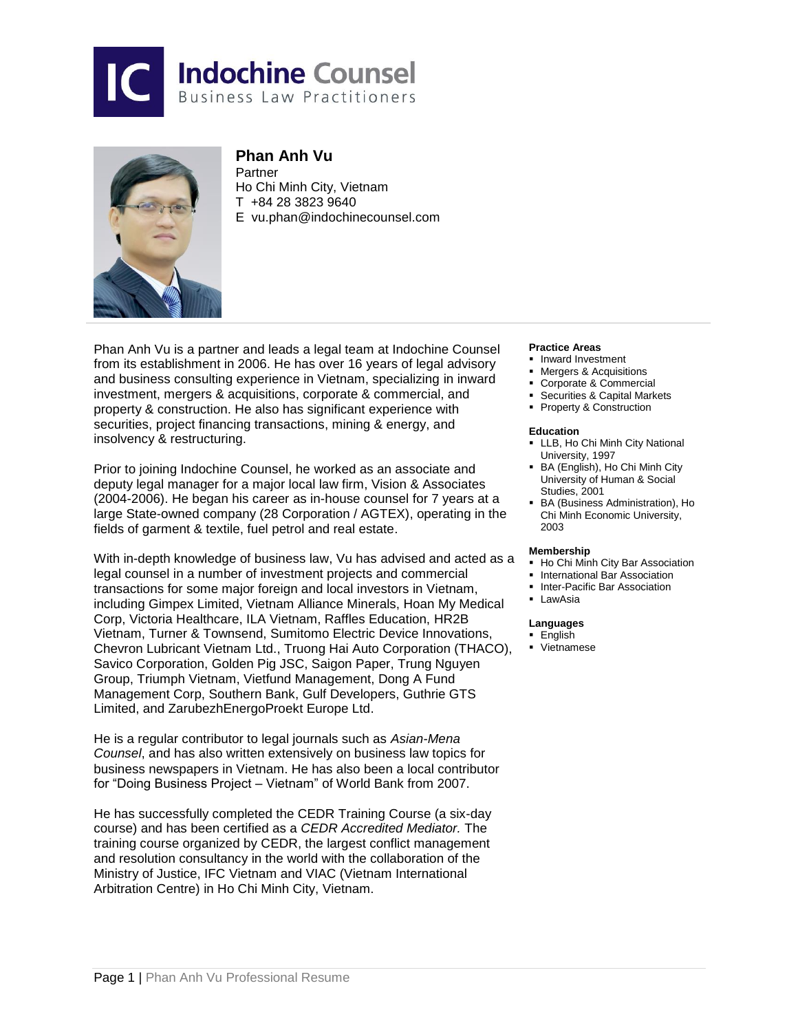



# **Phan Anh Vu**

**Partner** Ho Chi Minh City, Vietnam T +84 28 3823 9640 E vu.pha[n@indochinecounsel.com](mailto:duc.dang@indochinecounsel.com)

Phan Anh Vu is a partner and leads a legal team at Indochine Counsel from its establishment in 2006. He has over 16 years of legal advisory and business consulting experience in Vietnam, specializing in inward investment, mergers & acquisitions, corporate & commercial, and property & construction. He also has significant experience with securities, project financing transactions, mining & energy, and insolvency & restructuring.

Prior to joining Indochine Counsel, he worked as an associate and deputy legal manager for a major local law firm, Vision & Associates (2004-2006). He began his career as in-house counsel for 7 years at a large State-owned company (28 Corporation / AGTEX), operating in the fields of garment & textile, fuel petrol and real estate.

With in-depth knowledge of business law, Vu has advised and acted as a legal counsel in a number of investment projects and commercial transactions for some major foreign and local investors in Vietnam, including Gimpex Limited, Vietnam Alliance Minerals, Hoan My Medical Corp, Victoria Healthcare, ILA Vietnam, Raffles Education, HR2B Vietnam, Turner & Townsend, Sumitomo Electric Device Innovations, Chevron Lubricant Vietnam Ltd., Truong Hai Auto Corporation (THACO), Savico Corporation, Golden Pig JSC, Saigon Paper, Trung Nguyen Group, Triumph Vietnam, Vietfund Management, Dong A Fund Management Corp, Southern Bank, Gulf Developers, Guthrie GTS Limited, and ZarubezhEnergoProekt Europe Ltd.

He is a regular contributor to legal journals such as *Asian-Mena Counsel*, and has also written extensively on business law topics for business newspapers in Vietnam. He has also been a local contributor for "Doing Business Project – Vietnam" of World Bank from 2007.

He has successfully completed the CEDR Training Course (a six-day course) and has been certified as a *CEDR Accredited Mediator.* The training course organized by CEDR, the largest conflict management and resolution consultancy in the world with the collaboration of the Ministry of Justice, IFC Vietnam and VIAC (Vietnam International Arbitration Centre) in Ho Chi Minh City, Vietnam.

#### **Practice Areas**

- **Inward Investment**
- Mergers & Acquisitions
- Corporate & Commercial
- Securities & Capital Markets
- **Property & Construction**

#### **Education**

- **-** LLB, Ho Chi Minh City National University, 1997
- BA (English), Ho Chi Minh City University of Human & Social Studies, 2001
- BA (Business Administration), Ho Chi Minh Economic University, 2003

#### **Membership**

- **-** Ho Chi Minh City Bar Association
- **International Bar Association**
- **Inter-Pacific Bar Association**
- **-** LawAsia

### **Languages**

- **English**
- Vietnamese